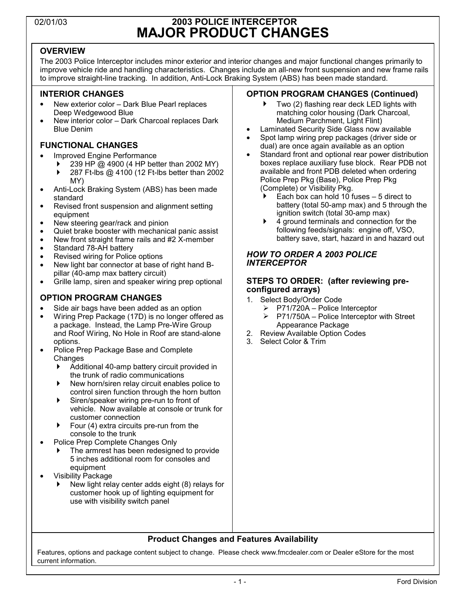# 02/01/03 **2003 POLICE INTERCEPTOR MAJOR PRODUCT CHANGES**

### **OVERVIEW**

The 2003 Police Interceptor includes minor exterior and interior changes and major functional changes primarily to improve vehicle ride and handling characteristics. Changes include an all-new front suspension and new frame rails to improve straight-line tracking. In addition, Anti-Lock Braking System (ABS) has been made standard.

### **INTERIOR CHANGES**

- New exterior color Dark Blue Pearl replaces Deep Wedgewood Blue
- New interior color Dark Charcoal replaces Dark Blue Denim

### **FUNCTIONAL CHANGES**

- Improved Engine Performance
	- 239 HP @ 4900 (4 HP better than 2002 MY)
	- $\triangleright$  287 Ft-lbs @ 4100 (12 Ft-lbs better than 2002 MY)
- Anti-Lock Braking System (ABS) has been made standard
- Revised front suspension and alignment setting equipment
- New steering gear/rack and pinion
- Quiet brake booster with mechanical panic assist
- New front straight frame rails and #2 X-member
- Standard 78-AH battery
- Revised wiring for Police options
- New light bar connector at base of right hand Bpillar (40-amp max battery circuit)
- Grille lamp, siren and speaker wiring prep optional

### **OPTION PROGRAM CHANGES**

- Side air bags have been added as an option
- Wiring Prep Package (17D) is no longer offered as a package. Instead, the Lamp Pre-Wire Group and Roof Wiring, No Hole in Roof are stand-alone options.
- Police Prep Package Base and Complete **Changes** 
	- Additional 40-amp battery circuit provided in the trunk of radio communications
	- New horn/siren relay circuit enables police to control siren function through the horn button
	- **EX Siren/speaker wiring pre-run to front of** vehicle. Now available at console or trunk for customer connection
	- $\blacktriangleright$  Four (4) extra circuits pre-run from the console to the trunk
- Police Prep Complete Changes Only
	- ` The armrest has been redesigned to provide 5 inches additional room for consoles and equipment
- Visibility Package
	- ` New light relay center adds eight (8) relays for customer hook up of lighting equipment for use with visibility switch panel

### **OPTION PROGRAM CHANGES (Continued)**

- ` Two (2) flashing rear deck LED lights with matching color housing (Dark Charcoal, Medium Parchment, Light Flint)
- Laminated Security Side Glass now available
- Spot lamp wiring prep packages (driver side or dual) are once again available as an option
- Standard front and optional rear power distribution boxes replace auxiliary fuse block. Rear PDB not available and front PDB deleted when ordering Police Prep Pkg (Base), Police Prep Pkg (Complete) or Visibility Pkg.
	- Each box can hold 10 fuses  $-5$  direct to battery (total 50-amp max) and 5 through the ignition switch (total 30-amp max)
	- $\triangleright$  4 ground terminals and connection for the following feeds/signals: engine off, VSO, battery save, start, hazard in and hazard out

#### *HOW TO ORDER A 2003 POLICE INTERCEPTOR*

#### **STEPS TO ORDER: (after reviewing preconfigured arrays)**

- 1. Select Body/Order Code
	- $\triangleright$  P71/720A Police Interceptor
	- $\triangleright$  P71/750A Police Interceptor with Street Appearance Package
- 2. Review Available Option Codes
- 3. Select Color & Trim

### **Product Changes and Features Availability**

Features, options and package content subject to change. Please check www.fmcdealer.com or Dealer eStore for the most current information.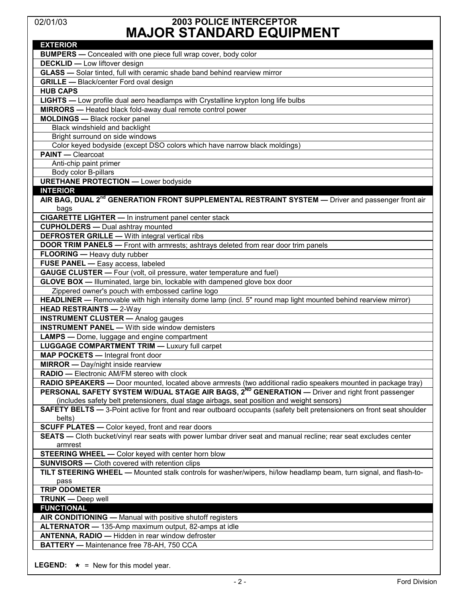## 02/01/03 **2003 POLICE INTERCEPTOR MAJOR STANDARD EQUIPMENT**

| NU UI UI ANDAND LQUII MENI                                                                                            |
|-----------------------------------------------------------------------------------------------------------------------|
| <b>EXTERIOR</b>                                                                                                       |
| <b>BUMPERS</b> - Concealed with one piece full wrap cover, body color                                                 |
| <b>DECKLID - Low liftover design</b>                                                                                  |
| <b>GLASS</b> - Solar tinted, full with ceramic shade band behind rearview mirror                                      |
| <b>GRILLE</b> - Black/center Ford oval design                                                                         |
| <b>HUB CAPS</b>                                                                                                       |
| <b>LIGHTS</b> — Low profile dual aero headlamps with Crystalline krypton long life bulbs                              |
| <b>MIRRORS</b> - Heated black fold-away dual remote control power                                                     |
| <b>MOLDINGS</b> - Black rocker panel                                                                                  |
| Black windshield and backlight                                                                                        |
| Bright surround on side windows                                                                                       |
| Color keyed bodyside (except DSO colors which have narrow black moldings)                                             |
| <b>PAINT</b> - Clearcoat                                                                                              |
| Anti-chip paint primer                                                                                                |
| Body color B-pillars                                                                                                  |
| <b>URETHANE PROTECTION - Lower bodyside</b>                                                                           |
| <b>INTERIOR</b>                                                                                                       |
| AIR BAG, DUAL 2 <sup>nd</sup> GENERATION FRONT SUPPLEMENTAL RESTRAINT SYSTEM - Driver and passenger front air         |
| bags                                                                                                                  |
| <b>CIGARETTE LIGHTER - In instrument panel center stack</b>                                                           |
| <b>CUPHOLDERS</b> - Dual ashtray mounted                                                                              |
| <b>DEFROSTER GRILLE - With integral vertical ribs</b>                                                                 |
| <b>DOOR TRIM PANELS -</b> Front with armrests; ashtrays deleted from rear door trim panels                            |
| FLOORING - Heavy duty rubber                                                                                          |
| FUSE PANEL - Easy access, labeled                                                                                     |
| GAUGE CLUSTER - Four (volt, oil pressure, water temperature and fuel)                                                 |
|                                                                                                                       |
| GLOVE BOX - Illuminated, large bin, lockable with dampened glove box door                                             |
| Zippered owner's pouch with embossed carline logo                                                                     |
| HEADLINER - Removable with high intensity dome lamp (incl. 5" round map light mounted behind rearview mirror)         |
| <b>HEAD RESTRAINTS - 2-Way</b>                                                                                        |
| <b>INSTRUMENT CLUSTER - Analog gauges</b>                                                                             |
| <b>INSTRUMENT PANEL - With side window demisters</b>                                                                  |
| <b>LAMPS</b> — Dome, luggage and engine compartment                                                                   |
| <b>LUGGAGE COMPARTMENT TRIM - Luxury full carpet</b>                                                                  |
| <b>MAP POCKETS - Integral front door</b>                                                                              |
| <b>MIRROR</b> - Day/night inside rearview                                                                             |
| RADIO - Electronic AM/FM stereo with clock                                                                            |
| RADIO SPEAKERS - Door mounted, located above armrests (two additional radio speakers mounted in package tray)         |
| PERSONAL SAFETY SYSTEM W/DUAL STAGE AIR BAGS, 2 <sup>ND</sup> GENERATION — Driver and right front passenger           |
| (includes safety belt pretensioners, dual stage airbags, seat position and weight sensors)                            |
| SAFETY BELTS - 3-Point active for front and rear outboard occupants (safety belt pretensioners on front seat shoulder |
| belts)                                                                                                                |
| <b>SCUFF PLATES -</b> Color keyed, front and rear doors                                                               |
| SEATS - Cloth bucket/vinyl rear seats with power lumbar driver seat and manual recline; rear seat excludes center     |
| armrest                                                                                                               |
| <b>STEERING WHEEL -</b> Color keyed with center horn blow                                                             |
| <b>SUNVISORS</b> - Cloth covered with retention clips                                                                 |
| TILT STEERING WHEEL - Mounted stalk controls for washer/wipers, hi/low headlamp beam, turn signal, and flash-to-      |
| pass                                                                                                                  |
| <b>TRIP ODOMETER</b>                                                                                                  |
| <b>TRUNK - Deep well</b>                                                                                              |
| <b>FUNCTIONAL</b>                                                                                                     |
| AIR CONDITIONING - Manual with positive shutoff registers                                                             |
| ALTERNATOR - 135-Amp maximum output, 82-amps at idle                                                                  |
| ANTENNA, RADIO - Hidden in rear window defroster                                                                      |
| BATTERY - Maintenance free 78-AH, 750 CCA                                                                             |
|                                                                                                                       |

**LEGEND:**  $\star$  = New for this model year.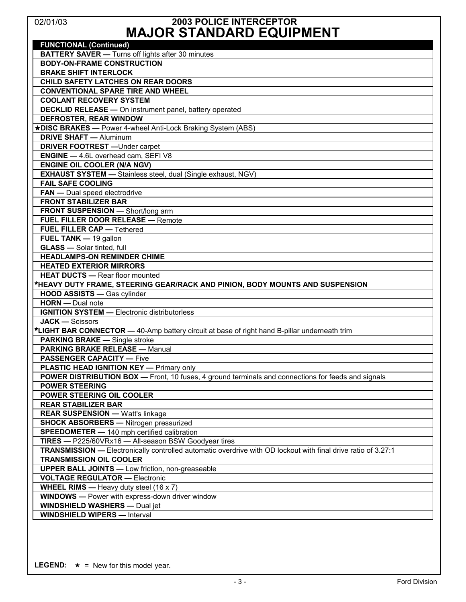# 02/01/03 **2003 POLICE INTERCEPTOR MAJOR STANDARD EQUIPMENT**

| <b>FUNCTIONAL (Continued)</b>                                                                                 |
|---------------------------------------------------------------------------------------------------------------|
| <b>BATTERY SAVER - Turns off lights after 30 minutes</b>                                                      |
| <b>BODY-ON-FRAME CONSTRUCTION</b>                                                                             |
| <b>BRAKE SHIFT INTERLOCK</b>                                                                                  |
| CHILD SAFETY LATCHES ON REAR DOORS                                                                            |
| <b>CONVENTIONAL SPARE TIRE AND WHEEL</b>                                                                      |
| <b>COOLANT RECOVERY SYSTEM</b>                                                                                |
| <b>DECKLID RELEASE - On instrument panel, battery operated</b>                                                |
| DEFROSTER, REAR WINDOW                                                                                        |
| *DISC BRAKES - Power 4-wheel Anti-Lock Braking System (ABS)                                                   |
| <b>DRIVE SHAFT — Aluminum</b>                                                                                 |
| <b>DRIVER FOOTREST</b> - Under carpet                                                                         |
| <b>ENGINE - 4.6L overhead cam, SEFI V8</b>                                                                    |
| <b>ENGINE OIL COOLER (N/A NGV)</b>                                                                            |
| <b>EXHAUST SYSTEM - Stainless steel, dual (Single exhaust, NGV)</b>                                           |
| <b>FAIL SAFE COOLING</b>                                                                                      |
| <b>FAN</b> — Dual speed electrodrive                                                                          |
| <b>FRONT STABILIZER BAR</b>                                                                                   |
| FRONT SUSPENSION - Short/long arm                                                                             |
| <b>FUEL FILLER DOOR RELEASE - Remote</b>                                                                      |
| <b>FUEL FILLER CAP - Tethered</b>                                                                             |
| FUEL TANK - 19 gallon                                                                                         |
| <b>GLASS</b> - Solar tinted, full                                                                             |
| <b>HEADLAMPS-ON REMINDER CHIME</b>                                                                            |
| <b>HEATED EXTERIOR MIRRORS</b>                                                                                |
| <b>HEAT DUCTS - Rear floor mounted</b>                                                                        |
| *HEAVY DUTY FRAME, STEERING GEAR/RACK AND PINION, BODY MOUNTS AND SUSPENSION                                  |
| <b>HOOD ASSISTS - Gas cylinder</b>                                                                            |
| <b>HORN</b> - Dual note                                                                                       |
| <b>IGNITION SYSTEM - Electronic distributorless</b>                                                           |
| <b>JACK - Scissors</b>                                                                                        |
| *LIGHT BAR CONNECTOR - 40-Amp battery circuit at base of right hand B-pillar underneath trim                  |
| <b>PARKING BRAKE — Single stroke</b>                                                                          |
| <b>PARKING BRAKE RELEASE - Manual</b>                                                                         |
| <b>PASSENGER CAPACITY — Five</b>                                                                              |
| <b>PLASTIC HEAD IGNITION KEY — Primary only</b>                                                               |
| <b>POWER DISTRIBUTION BOX —</b> Front, 10 fuses, 4 ground terminals and connections for feeds and signals     |
| <b>POWER STEERING</b>                                                                                         |
| POWER STEERING OIL COOLER                                                                                     |
| <b>REAR STABILIZER BAR</b>                                                                                    |
| <b>REAR SUSPENSION - Watt's linkage</b>                                                                       |
| <b>SHOCK ABSORBERS - Nitrogen pressurized</b>                                                                 |
| <b>SPEEDOMETER - 140 mph certified calibration</b>                                                            |
| TIRES - P225/60VRx16 - All-season BSW Goodyear tires                                                          |
| TRANSMISSION - Electronically controlled automatic overdrive with OD lockout with final drive ratio of 3.27:1 |
| <b>TRANSMISSION OIL COOLER</b>                                                                                |
| <b>UPPER BALL JOINTS - Low friction, non-greaseable</b>                                                       |
| <b>VOLTAGE REGULATOR - Electronic</b>                                                                         |
| <b>WHEEL RIMS</b> - Heavy duty steel $(16 \times 7)$                                                          |
| <b>WINDOWS</b> - Power with express-down driver window                                                        |
| <b>WINDSHIELD WASHERS - Dual jet</b>                                                                          |
| <b>WINDSHIELD WIPERS - Interval</b>                                                                           |
|                                                                                                               |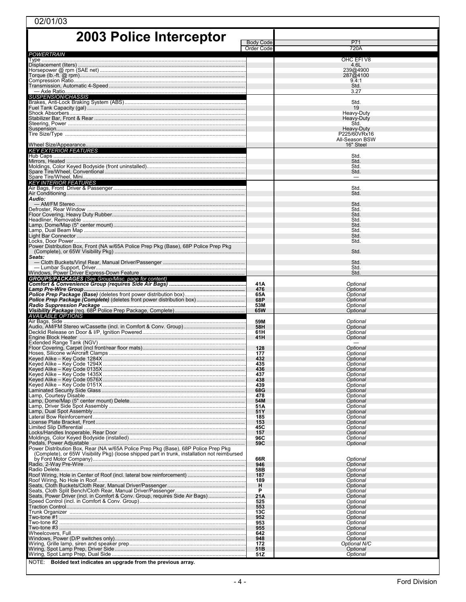| 02/01/03                                                                                     |                                |                             |  |  |  |
|----------------------------------------------------------------------------------------------|--------------------------------|-----------------------------|--|--|--|
| <b>2003 Police Interceptor</b>                                                               |                                |                             |  |  |  |
|                                                                                              | <b>Body Code</b><br>Order Code | P71<br>720A                 |  |  |  |
| <b>POWERTRAIN</b>                                                                            |                                | OHC EFIV8                   |  |  |  |
|                                                                                              |                                | 4.6L<br>239@4900            |  |  |  |
|                                                                                              |                                | 287@4100                    |  |  |  |
|                                                                                              |                                | 9.4:1<br>Std.               |  |  |  |
| <b>SUSPENSION/CHASSIS</b>                                                                    |                                | 3.27                        |  |  |  |
|                                                                                              |                                | Std.<br>19                  |  |  |  |
|                                                                                              |                                | Heavy-Duty                  |  |  |  |
|                                                                                              |                                | Heavy-Duty<br>Std.          |  |  |  |
|                                                                                              |                                | Heavy-Duty<br>P225/60VRx16  |  |  |  |
|                                                                                              |                                | All-Season BSW<br>16" Steel |  |  |  |
| <b>KEY EXTERIOR FEATURES</b>                                                                 |                                |                             |  |  |  |
|                                                                                              |                                | Std.<br>Std.                |  |  |  |
|                                                                                              |                                | Std.<br>Std.                |  |  |  |
| <b>KEY INTERIOR FEATURES</b>                                                                 |                                |                             |  |  |  |
|                                                                                              |                                | Std.                        |  |  |  |
| Audio:                                                                                       |                                | Std.                        |  |  |  |
|                                                                                              |                                | Std.<br>Std.                |  |  |  |
|                                                                                              |                                | Std.<br>Std.                |  |  |  |
|                                                                                              |                                | Std.<br>Std.                |  |  |  |
|                                                                                              |                                | Std.                        |  |  |  |
| Power Distribution Box, Front (NA w/65A Police Prep Pkg (Base), 68P Police Prep Pkg          |                                | Std.                        |  |  |  |
| Seats:                                                                                       |                                | Std.                        |  |  |  |
|                                                                                              |                                | Std.<br>Std.                |  |  |  |
|                                                                                              |                                | Std.                        |  |  |  |
| <b>GROUPS/PACKAGES</b> (See Group/Misc. page for content)                                    | 41A                            | Optional                    |  |  |  |
|                                                                                              | 476<br>65A                     | Optional<br>Optional        |  |  |  |
|                                                                                              | 68P<br>53M                     | Optional<br>Optional        |  |  |  |
| AVAILABLE OPTIONS                                                                            | 65W                            | Optional                    |  |  |  |
|                                                                                              | 59M                            | Optional                    |  |  |  |
|                                                                                              | 58H<br>61H                     | Optional<br>Optional        |  |  |  |
|                                                                                              | 41H                            | Optional                    |  |  |  |
|                                                                                              | 128<br>177                     | Optional<br>Optional        |  |  |  |
|                                                                                              | 432<br>435                     | Optional<br>Optional        |  |  |  |
|                                                                                              | 436                            | Optional                    |  |  |  |
|                                                                                              | 437<br>438                     | Optional<br>Optional        |  |  |  |
|                                                                                              | 439<br>68G                     | Optional<br>Optional        |  |  |  |
|                                                                                              | 478<br>54M                     | Optional<br>Optional        |  |  |  |
|                                                                                              | 51A<br>51Y                     | Optional<br>Optional        |  |  |  |
|                                                                                              | 185                            | Optional                    |  |  |  |
|                                                                                              | 153<br>45C                     | Optional<br>Optional        |  |  |  |
| Locks/Handles Inoperable, Rear Door …………………………………………………………………………                             | 157<br>96C                     | Optional<br>Optional        |  |  |  |
| Power Distribution Box, Rear (NA w/65A Police Prep Pkg (Base), 68P Police Prep Pkg           | 59C                            | Optional                    |  |  |  |
| (Complete), or 65W Visibility Pkg) (loose shipped part in trunk, installation not reimbursed | 66R                            | Optional                    |  |  |  |
|                                                                                              | 946                            | Optional                    |  |  |  |
|                                                                                              | 58B<br>187                     | Optional<br>Optional        |  |  |  |
|                                                                                              | 189<br>н                       | Optional<br>Optional        |  |  |  |
| Seats, Power Driver (incl. in Comfort & Conv. Group, requires Side Air Bags)                 | P<br>21A                       | Optional<br>Optional        |  |  |  |
|                                                                                              | 525<br>553                     | Optional<br>Optional        |  |  |  |
|                                                                                              | 13C                            | Optional                    |  |  |  |
|                                                                                              | 952<br>953                     | Optional<br>Optional        |  |  |  |
|                                                                                              | 955<br>642                     | Optional<br>Optional        |  |  |  |
|                                                                                              | 948<br>172                     | Optional<br>Optional N/C    |  |  |  |
|                                                                                              | 51B<br>51Z                     | Optional<br>Optional        |  |  |  |
| NOTE:<br>Bolded text indicates an upgrade from the previous array.                           |                                |                             |  |  |  |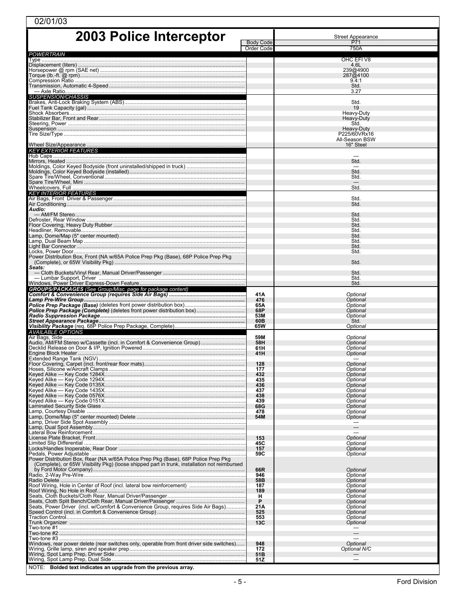| 02/01/03                                                                                                                                                                           |                  |                                |  |  |  |
|------------------------------------------------------------------------------------------------------------------------------------------------------------------------------------|------------------|--------------------------------|--|--|--|
| 2003 Police Interceptor                                                                                                                                                            |                  | <b>Street Appearance</b>       |  |  |  |
|                                                                                                                                                                                    | <b>Body Code</b> | P71                            |  |  |  |
| POWERTRAIN                                                                                                                                                                         | Order Code       | 750A                           |  |  |  |
|                                                                                                                                                                                    |                  | OHC EFIV8                      |  |  |  |
|                                                                                                                                                                                    |                  | 4.6L<br>239@4900               |  |  |  |
|                                                                                                                                                                                    |                  | 287@4100<br>9.4:1              |  |  |  |
|                                                                                                                                                                                    |                  | Std.                           |  |  |  |
| <i>SUSPENSION/CHASSIS</i>                                                                                                                                                          |                  | 3.27                           |  |  |  |
|                                                                                                                                                                                    |                  | Std.                           |  |  |  |
|                                                                                                                                                                                    |                  | 19<br>Heavy-Duty               |  |  |  |
|                                                                                                                                                                                    |                  | Heavy-Duty                     |  |  |  |
|                                                                                                                                                                                    |                  | Std.<br>Heavy-Duty             |  |  |  |
|                                                                                                                                                                                    |                  | P225/60VRx16<br>All-Season BSW |  |  |  |
|                                                                                                                                                                                    |                  | 16" Steel                      |  |  |  |
| <b>KEY EXTERIOR FEATURES</b>                                                                                                                                                       |                  |                                |  |  |  |
|                                                                                                                                                                                    |                  | Std.                           |  |  |  |
|                                                                                                                                                                                    |                  | Std.                           |  |  |  |
|                                                                                                                                                                                    |                  | Std.                           |  |  |  |
|                                                                                                                                                                                    |                  | Std.                           |  |  |  |
| <b>KEY INTERIOR FEATURES</b>                                                                                                                                                       |                  | Std.                           |  |  |  |
| Audio:                                                                                                                                                                             |                  | Std.                           |  |  |  |
|                                                                                                                                                                                    |                  | Std.                           |  |  |  |
|                                                                                                                                                                                    |                  | Std.<br>Std.                   |  |  |  |
|                                                                                                                                                                                    |                  | Std.                           |  |  |  |
|                                                                                                                                                                                    |                  | Std.<br>Std.                   |  |  |  |
|                                                                                                                                                                                    |                  | Std.<br>Std.                   |  |  |  |
| Power Distribution Box, Front (NA w/65A Police Prep Pkg (Base), 68P Police Prep Pkg                                                                                                |                  |                                |  |  |  |
| Seats:                                                                                                                                                                             |                  | Std.                           |  |  |  |
| — Lumbar Support, Driver ……………………………………………………………………………………                                                                                                                          |                  | Std.<br>Std.                   |  |  |  |
| <b>GROUPS/PACKAGES</b> (See Group/Misc. page for package content)                                                                                                                  |                  | Std.                           |  |  |  |
|                                                                                                                                                                                    | 41A              | Optional                       |  |  |  |
| Lamp Pre-Wire Group……………………………………………………………………………………………                                                                                                                             | 476<br>65A       | Optional<br>Optional           |  |  |  |
|                                                                                                                                                                                    | 68P              | Optional                       |  |  |  |
|                                                                                                                                                                                    | 53M<br>60B       | Optional<br>Std.               |  |  |  |
| AVAILABLE OPTIONS                                                                                                                                                                  | 65W              | Optional                       |  |  |  |
| Audio, AM/FM Stereo w/Cassette (incl. in Comfort & Convenience Group)                                                                                                              | 59M<br>58H       | Optional<br>Optional           |  |  |  |
|                                                                                                                                                                                    | 61H              | Optional                       |  |  |  |
| Extended Range Tank (NGV)                                                                                                                                                          | 41H              | Optional                       |  |  |  |
|                                                                                                                                                                                    | 128<br>177       | Optional<br>Optional           |  |  |  |
|                                                                                                                                                                                    | 432              | Optional                       |  |  |  |
|                                                                                                                                                                                    | 435<br>436       | Optional<br>Optional           |  |  |  |
|                                                                                                                                                                                    | 437              | Optional                       |  |  |  |
|                                                                                                                                                                                    | 438<br>439       | Optional<br>Optional           |  |  |  |
|                                                                                                                                                                                    | 68G<br>478       | Optional<br>Optional           |  |  |  |
|                                                                                                                                                                                    | 54M              | Optional                       |  |  |  |
|                                                                                                                                                                                    |                  | $\qquad \qquad -$              |  |  |  |
|                                                                                                                                                                                    | 153              | Optional                       |  |  |  |
|                                                                                                                                                                                    | 45C<br>157       | Optional<br>Optional           |  |  |  |
|                                                                                                                                                                                    | 59C              | Optional                       |  |  |  |
| Power Distribution Box, Rear (NA w/65A Police Prep Pkg (Base), 68P Police Prep Pkg<br>(Complete), or 65W Visibility Pkg) (loose shipped part in trunk, installation not reimbursed |                  |                                |  |  |  |
|                                                                                                                                                                                    | 66R<br>946       | Optional<br>Optional           |  |  |  |
|                                                                                                                                                                                    | 58B              | Optional                       |  |  |  |
|                                                                                                                                                                                    | 187<br>189       | Optional<br>Optional           |  |  |  |
|                                                                                                                                                                                    | н<br>P           | Optional<br>Optional           |  |  |  |
| Seats, Power Driver (incl. w/Comfort & Convenience Group, requires Side Air Bags)                                                                                                  | 21A              | Optional                       |  |  |  |
|                                                                                                                                                                                    | 525<br>553       | Optional<br>Optional           |  |  |  |
|                                                                                                                                                                                    | 13C              | Optional                       |  |  |  |
|                                                                                                                                                                                    |                  |                                |  |  |  |
| Windows, rear power delete (rear switches only, operable from front driver side switches)                                                                                          | 948              | Optional                       |  |  |  |
|                                                                                                                                                                                    | 172<br>51B       | Optional N/C                   |  |  |  |
|                                                                                                                                                                                    | 51Z              |                                |  |  |  |
| NOTE: Bolded text indicates an upgrade from the previous array.                                                                                                                    |                  |                                |  |  |  |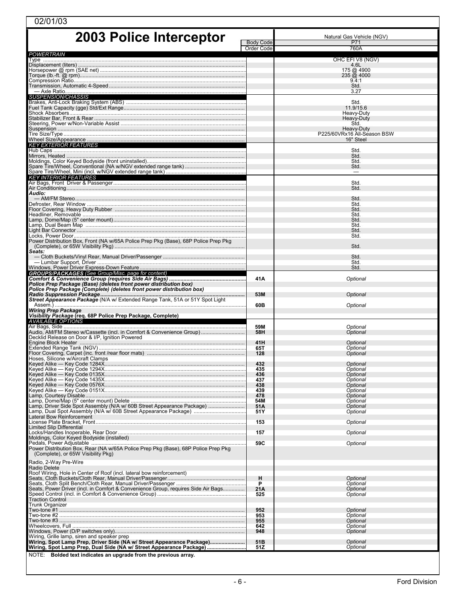| 2003 Police Interceptor<br>Natural Gas Vehicle (NGV)<br><b>Body Code</b><br>P71<br>760A<br>Order Code<br><b>POWERTRAIN</b><br>OHC EFIV8 (NGV)<br>4.6L<br>175 @ 4900<br>$235 \overline{\omega}$ 4000<br>9.4:1<br>Std.<br>3.27<br><b>SUSPENSION/CHASSIS</b><br>Std.<br>11.9/15.6<br>Heavy-Duty<br>Heavy-Duty<br>Std.<br>Heavy-Duty<br>P225/60VRx16 All-Season BSW<br>16" Steel<br><b>KEY EXTERIOR FEATURES</b><br>Std.<br>Std.<br>Std.<br>Std.<br>$\qquad \qquad \longleftarrow$<br><b>KEY INTERIOR FEATURES</b><br>Std.<br>Std.<br>Audio:<br>Std.<br>Std.<br>Std.<br>Std.<br>Std.<br>Std.<br>Std.<br>Std.<br>Power Distribution Box, Front (NA w/65A Police Prep Pkg (Base), 68P Police Prep Pkg<br>Std.<br>Seats:<br>Std.<br>Std.<br>Std.<br><b>GROUPS/PACKAGES</b> (See Group/Misc. page for content)<br>41A<br>Optional<br>Police Prep Package (Base) (deletes front power distribution box)<br>Police Prep Package (Complete) (deletes front power distribution box)<br>53M<br>Optional<br>Street Appearance Package (N/A w/ Extended Range Tank, 51A or 51Y Spot Light<br>60B<br>Optional<br><b>Wiring Prep Package</b><br>Visibility Package (req. 68P Police Prep Package, Complete)<br><b>AVAILABLE OPTIONS</b><br>59M<br>Optional<br>Audio, AM/FM Stereo w/Cassette (incl. in Comfort & Convenience Group)<br>58H<br>Optional<br>Decklid Release on Door & I/P, Ignition Powered<br>41H<br>Optional<br>65T<br>Optional<br>128<br>Optional<br>Hoses, Silicone w/Aircraft Clamps<br>432<br>Optional<br>435<br>Optional<br>Optional<br>436<br>437<br>Optional<br>Optional<br>438<br>439<br>Optional<br>478<br>Optional<br>54M<br>Optional<br>Lamp, Driver Side Spot Assembly (N/A w/ 60B Street Appearance Package)<br>51A<br>Optional<br>51Y<br>Optional<br>Lateral Bow Reinforcement<br>Optional<br>153<br><b>Limited Slip Differential</b><br>Optional<br>157<br>Moldings, Color Keved Bodyside (installed)<br>59C<br>Optional<br>Power Distribution Box, Rear (NA w/65A Police Prep Pkg (Base), 68P Police Prep Pkg<br>(Complete), or 65W Visibility Pkg)<br>Radio, 2-Way Pre-Wire<br>Radio Delete<br>Roof Wiring, Hole in Center of Roof (incl. lateral bow reinforcement)<br>н<br>Optional<br>P<br>Optional<br>Seats, Power Driver (incl. in Comfort & Convenience Group, requires Side Air Bags<br>21A<br>Optional<br>Optional<br>525<br><b>Traction Control</b><br><b>Trunk Organizer</b><br>952<br>Optional<br>953<br>Optional<br>Optional<br>955<br>Optional<br>642<br>Optional<br>948<br>Wiring, Grille lamp, siren and speaker prep<br>Wiring, Spot Lamp Prep, Driver Side (NA w/ Street Appearance Package)<br>51B<br>Optional<br>Wiring, Spot Lamp Prep, Dual Side (NA w/ Street Appearance Package)<br>51Z<br>Optional | 02/01/03                                                        |  |  |
|--------------------------------------------------------------------------------------------------------------------------------------------------------------------------------------------------------------------------------------------------------------------------------------------------------------------------------------------------------------------------------------------------------------------------------------------------------------------------------------------------------------------------------------------------------------------------------------------------------------------------------------------------------------------------------------------------------------------------------------------------------------------------------------------------------------------------------------------------------------------------------------------------------------------------------------------------------------------------------------------------------------------------------------------------------------------------------------------------------------------------------------------------------------------------------------------------------------------------------------------------------------------------------------------------------------------------------------------------------------------------------------------------------------------------------------------------------------------------------------------------------------------------------------------------------------------------------------------------------------------------------------------------------------------------------------------------------------------------------------------------------------------------------------------------------------------------------------------------------------------------------------------------------------------------------------------------------------------------------------------------------------------------------------------------------------------------------------------------------------------------------------------------------------------------------------------------------------------------------------------------------------------------------------------------------------------------------------------------------------------------------------------------------------------------------------------------------------------------------------------------------------------------------------------------------------------------------------------------------------------------------------------------------------------------------------------------------------------------------------------|-----------------------------------------------------------------|--|--|
|                                                                                                                                                                                                                                                                                                                                                                                                                                                                                                                                                                                                                                                                                                                                                                                                                                                                                                                                                                                                                                                                                                                                                                                                                                                                                                                                                                                                                                                                                                                                                                                                                                                                                                                                                                                                                                                                                                                                                                                                                                                                                                                                                                                                                                                                                                                                                                                                                                                                                                                                                                                                                                                                                                                                            |                                                                 |  |  |
|                                                                                                                                                                                                                                                                                                                                                                                                                                                                                                                                                                                                                                                                                                                                                                                                                                                                                                                                                                                                                                                                                                                                                                                                                                                                                                                                                                                                                                                                                                                                                                                                                                                                                                                                                                                                                                                                                                                                                                                                                                                                                                                                                                                                                                                                                                                                                                                                                                                                                                                                                                                                                                                                                                                                            |                                                                 |  |  |
|                                                                                                                                                                                                                                                                                                                                                                                                                                                                                                                                                                                                                                                                                                                                                                                                                                                                                                                                                                                                                                                                                                                                                                                                                                                                                                                                                                                                                                                                                                                                                                                                                                                                                                                                                                                                                                                                                                                                                                                                                                                                                                                                                                                                                                                                                                                                                                                                                                                                                                                                                                                                                                                                                                                                            |                                                                 |  |  |
|                                                                                                                                                                                                                                                                                                                                                                                                                                                                                                                                                                                                                                                                                                                                                                                                                                                                                                                                                                                                                                                                                                                                                                                                                                                                                                                                                                                                                                                                                                                                                                                                                                                                                                                                                                                                                                                                                                                                                                                                                                                                                                                                                                                                                                                                                                                                                                                                                                                                                                                                                                                                                                                                                                                                            |                                                                 |  |  |
|                                                                                                                                                                                                                                                                                                                                                                                                                                                                                                                                                                                                                                                                                                                                                                                                                                                                                                                                                                                                                                                                                                                                                                                                                                                                                                                                                                                                                                                                                                                                                                                                                                                                                                                                                                                                                                                                                                                                                                                                                                                                                                                                                                                                                                                                                                                                                                                                                                                                                                                                                                                                                                                                                                                                            |                                                                 |  |  |
|                                                                                                                                                                                                                                                                                                                                                                                                                                                                                                                                                                                                                                                                                                                                                                                                                                                                                                                                                                                                                                                                                                                                                                                                                                                                                                                                                                                                                                                                                                                                                                                                                                                                                                                                                                                                                                                                                                                                                                                                                                                                                                                                                                                                                                                                                                                                                                                                                                                                                                                                                                                                                                                                                                                                            |                                                                 |  |  |
|                                                                                                                                                                                                                                                                                                                                                                                                                                                                                                                                                                                                                                                                                                                                                                                                                                                                                                                                                                                                                                                                                                                                                                                                                                                                                                                                                                                                                                                                                                                                                                                                                                                                                                                                                                                                                                                                                                                                                                                                                                                                                                                                                                                                                                                                                                                                                                                                                                                                                                                                                                                                                                                                                                                                            |                                                                 |  |  |
|                                                                                                                                                                                                                                                                                                                                                                                                                                                                                                                                                                                                                                                                                                                                                                                                                                                                                                                                                                                                                                                                                                                                                                                                                                                                                                                                                                                                                                                                                                                                                                                                                                                                                                                                                                                                                                                                                                                                                                                                                                                                                                                                                                                                                                                                                                                                                                                                                                                                                                                                                                                                                                                                                                                                            |                                                                 |  |  |
|                                                                                                                                                                                                                                                                                                                                                                                                                                                                                                                                                                                                                                                                                                                                                                                                                                                                                                                                                                                                                                                                                                                                                                                                                                                                                                                                                                                                                                                                                                                                                                                                                                                                                                                                                                                                                                                                                                                                                                                                                                                                                                                                                                                                                                                                                                                                                                                                                                                                                                                                                                                                                                                                                                                                            |                                                                 |  |  |
|                                                                                                                                                                                                                                                                                                                                                                                                                                                                                                                                                                                                                                                                                                                                                                                                                                                                                                                                                                                                                                                                                                                                                                                                                                                                                                                                                                                                                                                                                                                                                                                                                                                                                                                                                                                                                                                                                                                                                                                                                                                                                                                                                                                                                                                                                                                                                                                                                                                                                                                                                                                                                                                                                                                                            |                                                                 |  |  |
|                                                                                                                                                                                                                                                                                                                                                                                                                                                                                                                                                                                                                                                                                                                                                                                                                                                                                                                                                                                                                                                                                                                                                                                                                                                                                                                                                                                                                                                                                                                                                                                                                                                                                                                                                                                                                                                                                                                                                                                                                                                                                                                                                                                                                                                                                                                                                                                                                                                                                                                                                                                                                                                                                                                                            |                                                                 |  |  |
|                                                                                                                                                                                                                                                                                                                                                                                                                                                                                                                                                                                                                                                                                                                                                                                                                                                                                                                                                                                                                                                                                                                                                                                                                                                                                                                                                                                                                                                                                                                                                                                                                                                                                                                                                                                                                                                                                                                                                                                                                                                                                                                                                                                                                                                                                                                                                                                                                                                                                                                                                                                                                                                                                                                                            |                                                                 |  |  |
|                                                                                                                                                                                                                                                                                                                                                                                                                                                                                                                                                                                                                                                                                                                                                                                                                                                                                                                                                                                                                                                                                                                                                                                                                                                                                                                                                                                                                                                                                                                                                                                                                                                                                                                                                                                                                                                                                                                                                                                                                                                                                                                                                                                                                                                                                                                                                                                                                                                                                                                                                                                                                                                                                                                                            |                                                                 |  |  |
|                                                                                                                                                                                                                                                                                                                                                                                                                                                                                                                                                                                                                                                                                                                                                                                                                                                                                                                                                                                                                                                                                                                                                                                                                                                                                                                                                                                                                                                                                                                                                                                                                                                                                                                                                                                                                                                                                                                                                                                                                                                                                                                                                                                                                                                                                                                                                                                                                                                                                                                                                                                                                                                                                                                                            |                                                                 |  |  |
|                                                                                                                                                                                                                                                                                                                                                                                                                                                                                                                                                                                                                                                                                                                                                                                                                                                                                                                                                                                                                                                                                                                                                                                                                                                                                                                                                                                                                                                                                                                                                                                                                                                                                                                                                                                                                                                                                                                                                                                                                                                                                                                                                                                                                                                                                                                                                                                                                                                                                                                                                                                                                                                                                                                                            |                                                                 |  |  |
|                                                                                                                                                                                                                                                                                                                                                                                                                                                                                                                                                                                                                                                                                                                                                                                                                                                                                                                                                                                                                                                                                                                                                                                                                                                                                                                                                                                                                                                                                                                                                                                                                                                                                                                                                                                                                                                                                                                                                                                                                                                                                                                                                                                                                                                                                                                                                                                                                                                                                                                                                                                                                                                                                                                                            |                                                                 |  |  |
|                                                                                                                                                                                                                                                                                                                                                                                                                                                                                                                                                                                                                                                                                                                                                                                                                                                                                                                                                                                                                                                                                                                                                                                                                                                                                                                                                                                                                                                                                                                                                                                                                                                                                                                                                                                                                                                                                                                                                                                                                                                                                                                                                                                                                                                                                                                                                                                                                                                                                                                                                                                                                                                                                                                                            |                                                                 |  |  |
|                                                                                                                                                                                                                                                                                                                                                                                                                                                                                                                                                                                                                                                                                                                                                                                                                                                                                                                                                                                                                                                                                                                                                                                                                                                                                                                                                                                                                                                                                                                                                                                                                                                                                                                                                                                                                                                                                                                                                                                                                                                                                                                                                                                                                                                                                                                                                                                                                                                                                                                                                                                                                                                                                                                                            |                                                                 |  |  |
|                                                                                                                                                                                                                                                                                                                                                                                                                                                                                                                                                                                                                                                                                                                                                                                                                                                                                                                                                                                                                                                                                                                                                                                                                                                                                                                                                                                                                                                                                                                                                                                                                                                                                                                                                                                                                                                                                                                                                                                                                                                                                                                                                                                                                                                                                                                                                                                                                                                                                                                                                                                                                                                                                                                                            |                                                                 |  |  |
|                                                                                                                                                                                                                                                                                                                                                                                                                                                                                                                                                                                                                                                                                                                                                                                                                                                                                                                                                                                                                                                                                                                                                                                                                                                                                                                                                                                                                                                                                                                                                                                                                                                                                                                                                                                                                                                                                                                                                                                                                                                                                                                                                                                                                                                                                                                                                                                                                                                                                                                                                                                                                                                                                                                                            |                                                                 |  |  |
|                                                                                                                                                                                                                                                                                                                                                                                                                                                                                                                                                                                                                                                                                                                                                                                                                                                                                                                                                                                                                                                                                                                                                                                                                                                                                                                                                                                                                                                                                                                                                                                                                                                                                                                                                                                                                                                                                                                                                                                                                                                                                                                                                                                                                                                                                                                                                                                                                                                                                                                                                                                                                                                                                                                                            |                                                                 |  |  |
|                                                                                                                                                                                                                                                                                                                                                                                                                                                                                                                                                                                                                                                                                                                                                                                                                                                                                                                                                                                                                                                                                                                                                                                                                                                                                                                                                                                                                                                                                                                                                                                                                                                                                                                                                                                                                                                                                                                                                                                                                                                                                                                                                                                                                                                                                                                                                                                                                                                                                                                                                                                                                                                                                                                                            |                                                                 |  |  |
|                                                                                                                                                                                                                                                                                                                                                                                                                                                                                                                                                                                                                                                                                                                                                                                                                                                                                                                                                                                                                                                                                                                                                                                                                                                                                                                                                                                                                                                                                                                                                                                                                                                                                                                                                                                                                                                                                                                                                                                                                                                                                                                                                                                                                                                                                                                                                                                                                                                                                                                                                                                                                                                                                                                                            |                                                                 |  |  |
|                                                                                                                                                                                                                                                                                                                                                                                                                                                                                                                                                                                                                                                                                                                                                                                                                                                                                                                                                                                                                                                                                                                                                                                                                                                                                                                                                                                                                                                                                                                                                                                                                                                                                                                                                                                                                                                                                                                                                                                                                                                                                                                                                                                                                                                                                                                                                                                                                                                                                                                                                                                                                                                                                                                                            |                                                                 |  |  |
|                                                                                                                                                                                                                                                                                                                                                                                                                                                                                                                                                                                                                                                                                                                                                                                                                                                                                                                                                                                                                                                                                                                                                                                                                                                                                                                                                                                                                                                                                                                                                                                                                                                                                                                                                                                                                                                                                                                                                                                                                                                                                                                                                                                                                                                                                                                                                                                                                                                                                                                                                                                                                                                                                                                                            |                                                                 |  |  |
|                                                                                                                                                                                                                                                                                                                                                                                                                                                                                                                                                                                                                                                                                                                                                                                                                                                                                                                                                                                                                                                                                                                                                                                                                                                                                                                                                                                                                                                                                                                                                                                                                                                                                                                                                                                                                                                                                                                                                                                                                                                                                                                                                                                                                                                                                                                                                                                                                                                                                                                                                                                                                                                                                                                                            |                                                                 |  |  |
|                                                                                                                                                                                                                                                                                                                                                                                                                                                                                                                                                                                                                                                                                                                                                                                                                                                                                                                                                                                                                                                                                                                                                                                                                                                                                                                                                                                                                                                                                                                                                                                                                                                                                                                                                                                                                                                                                                                                                                                                                                                                                                                                                                                                                                                                                                                                                                                                                                                                                                                                                                                                                                                                                                                                            |                                                                 |  |  |
|                                                                                                                                                                                                                                                                                                                                                                                                                                                                                                                                                                                                                                                                                                                                                                                                                                                                                                                                                                                                                                                                                                                                                                                                                                                                                                                                                                                                                                                                                                                                                                                                                                                                                                                                                                                                                                                                                                                                                                                                                                                                                                                                                                                                                                                                                                                                                                                                                                                                                                                                                                                                                                                                                                                                            |                                                                 |  |  |
|                                                                                                                                                                                                                                                                                                                                                                                                                                                                                                                                                                                                                                                                                                                                                                                                                                                                                                                                                                                                                                                                                                                                                                                                                                                                                                                                                                                                                                                                                                                                                                                                                                                                                                                                                                                                                                                                                                                                                                                                                                                                                                                                                                                                                                                                                                                                                                                                                                                                                                                                                                                                                                                                                                                                            |                                                                 |  |  |
|                                                                                                                                                                                                                                                                                                                                                                                                                                                                                                                                                                                                                                                                                                                                                                                                                                                                                                                                                                                                                                                                                                                                                                                                                                                                                                                                                                                                                                                                                                                                                                                                                                                                                                                                                                                                                                                                                                                                                                                                                                                                                                                                                                                                                                                                                                                                                                                                                                                                                                                                                                                                                                                                                                                                            |                                                                 |  |  |
|                                                                                                                                                                                                                                                                                                                                                                                                                                                                                                                                                                                                                                                                                                                                                                                                                                                                                                                                                                                                                                                                                                                                                                                                                                                                                                                                                                                                                                                                                                                                                                                                                                                                                                                                                                                                                                                                                                                                                                                                                                                                                                                                                                                                                                                                                                                                                                                                                                                                                                                                                                                                                                                                                                                                            |                                                                 |  |  |
|                                                                                                                                                                                                                                                                                                                                                                                                                                                                                                                                                                                                                                                                                                                                                                                                                                                                                                                                                                                                                                                                                                                                                                                                                                                                                                                                                                                                                                                                                                                                                                                                                                                                                                                                                                                                                                                                                                                                                                                                                                                                                                                                                                                                                                                                                                                                                                                                                                                                                                                                                                                                                                                                                                                                            |                                                                 |  |  |
|                                                                                                                                                                                                                                                                                                                                                                                                                                                                                                                                                                                                                                                                                                                                                                                                                                                                                                                                                                                                                                                                                                                                                                                                                                                                                                                                                                                                                                                                                                                                                                                                                                                                                                                                                                                                                                                                                                                                                                                                                                                                                                                                                                                                                                                                                                                                                                                                                                                                                                                                                                                                                                                                                                                                            |                                                                 |  |  |
|                                                                                                                                                                                                                                                                                                                                                                                                                                                                                                                                                                                                                                                                                                                                                                                                                                                                                                                                                                                                                                                                                                                                                                                                                                                                                                                                                                                                                                                                                                                                                                                                                                                                                                                                                                                                                                                                                                                                                                                                                                                                                                                                                                                                                                                                                                                                                                                                                                                                                                                                                                                                                                                                                                                                            |                                                                 |  |  |
|                                                                                                                                                                                                                                                                                                                                                                                                                                                                                                                                                                                                                                                                                                                                                                                                                                                                                                                                                                                                                                                                                                                                                                                                                                                                                                                                                                                                                                                                                                                                                                                                                                                                                                                                                                                                                                                                                                                                                                                                                                                                                                                                                                                                                                                                                                                                                                                                                                                                                                                                                                                                                                                                                                                                            |                                                                 |  |  |
|                                                                                                                                                                                                                                                                                                                                                                                                                                                                                                                                                                                                                                                                                                                                                                                                                                                                                                                                                                                                                                                                                                                                                                                                                                                                                                                                                                                                                                                                                                                                                                                                                                                                                                                                                                                                                                                                                                                                                                                                                                                                                                                                                                                                                                                                                                                                                                                                                                                                                                                                                                                                                                                                                                                                            |                                                                 |  |  |
|                                                                                                                                                                                                                                                                                                                                                                                                                                                                                                                                                                                                                                                                                                                                                                                                                                                                                                                                                                                                                                                                                                                                                                                                                                                                                                                                                                                                                                                                                                                                                                                                                                                                                                                                                                                                                                                                                                                                                                                                                                                                                                                                                                                                                                                                                                                                                                                                                                                                                                                                                                                                                                                                                                                                            |                                                                 |  |  |
|                                                                                                                                                                                                                                                                                                                                                                                                                                                                                                                                                                                                                                                                                                                                                                                                                                                                                                                                                                                                                                                                                                                                                                                                                                                                                                                                                                                                                                                                                                                                                                                                                                                                                                                                                                                                                                                                                                                                                                                                                                                                                                                                                                                                                                                                                                                                                                                                                                                                                                                                                                                                                                                                                                                                            |                                                                 |  |  |
|                                                                                                                                                                                                                                                                                                                                                                                                                                                                                                                                                                                                                                                                                                                                                                                                                                                                                                                                                                                                                                                                                                                                                                                                                                                                                                                                                                                                                                                                                                                                                                                                                                                                                                                                                                                                                                                                                                                                                                                                                                                                                                                                                                                                                                                                                                                                                                                                                                                                                                                                                                                                                                                                                                                                            |                                                                 |  |  |
|                                                                                                                                                                                                                                                                                                                                                                                                                                                                                                                                                                                                                                                                                                                                                                                                                                                                                                                                                                                                                                                                                                                                                                                                                                                                                                                                                                                                                                                                                                                                                                                                                                                                                                                                                                                                                                                                                                                                                                                                                                                                                                                                                                                                                                                                                                                                                                                                                                                                                                                                                                                                                                                                                                                                            |                                                                 |  |  |
|                                                                                                                                                                                                                                                                                                                                                                                                                                                                                                                                                                                                                                                                                                                                                                                                                                                                                                                                                                                                                                                                                                                                                                                                                                                                                                                                                                                                                                                                                                                                                                                                                                                                                                                                                                                                                                                                                                                                                                                                                                                                                                                                                                                                                                                                                                                                                                                                                                                                                                                                                                                                                                                                                                                                            |                                                                 |  |  |
|                                                                                                                                                                                                                                                                                                                                                                                                                                                                                                                                                                                                                                                                                                                                                                                                                                                                                                                                                                                                                                                                                                                                                                                                                                                                                                                                                                                                                                                                                                                                                                                                                                                                                                                                                                                                                                                                                                                                                                                                                                                                                                                                                                                                                                                                                                                                                                                                                                                                                                                                                                                                                                                                                                                                            |                                                                 |  |  |
|                                                                                                                                                                                                                                                                                                                                                                                                                                                                                                                                                                                                                                                                                                                                                                                                                                                                                                                                                                                                                                                                                                                                                                                                                                                                                                                                                                                                                                                                                                                                                                                                                                                                                                                                                                                                                                                                                                                                                                                                                                                                                                                                                                                                                                                                                                                                                                                                                                                                                                                                                                                                                                                                                                                                            |                                                                 |  |  |
|                                                                                                                                                                                                                                                                                                                                                                                                                                                                                                                                                                                                                                                                                                                                                                                                                                                                                                                                                                                                                                                                                                                                                                                                                                                                                                                                                                                                                                                                                                                                                                                                                                                                                                                                                                                                                                                                                                                                                                                                                                                                                                                                                                                                                                                                                                                                                                                                                                                                                                                                                                                                                                                                                                                                            |                                                                 |  |  |
|                                                                                                                                                                                                                                                                                                                                                                                                                                                                                                                                                                                                                                                                                                                                                                                                                                                                                                                                                                                                                                                                                                                                                                                                                                                                                                                                                                                                                                                                                                                                                                                                                                                                                                                                                                                                                                                                                                                                                                                                                                                                                                                                                                                                                                                                                                                                                                                                                                                                                                                                                                                                                                                                                                                                            |                                                                 |  |  |
|                                                                                                                                                                                                                                                                                                                                                                                                                                                                                                                                                                                                                                                                                                                                                                                                                                                                                                                                                                                                                                                                                                                                                                                                                                                                                                                                                                                                                                                                                                                                                                                                                                                                                                                                                                                                                                                                                                                                                                                                                                                                                                                                                                                                                                                                                                                                                                                                                                                                                                                                                                                                                                                                                                                                            |                                                                 |  |  |
|                                                                                                                                                                                                                                                                                                                                                                                                                                                                                                                                                                                                                                                                                                                                                                                                                                                                                                                                                                                                                                                                                                                                                                                                                                                                                                                                                                                                                                                                                                                                                                                                                                                                                                                                                                                                                                                                                                                                                                                                                                                                                                                                                                                                                                                                                                                                                                                                                                                                                                                                                                                                                                                                                                                                            |                                                                 |  |  |
|                                                                                                                                                                                                                                                                                                                                                                                                                                                                                                                                                                                                                                                                                                                                                                                                                                                                                                                                                                                                                                                                                                                                                                                                                                                                                                                                                                                                                                                                                                                                                                                                                                                                                                                                                                                                                                                                                                                                                                                                                                                                                                                                                                                                                                                                                                                                                                                                                                                                                                                                                                                                                                                                                                                                            |                                                                 |  |  |
|                                                                                                                                                                                                                                                                                                                                                                                                                                                                                                                                                                                                                                                                                                                                                                                                                                                                                                                                                                                                                                                                                                                                                                                                                                                                                                                                                                                                                                                                                                                                                                                                                                                                                                                                                                                                                                                                                                                                                                                                                                                                                                                                                                                                                                                                                                                                                                                                                                                                                                                                                                                                                                                                                                                                            |                                                                 |  |  |
|                                                                                                                                                                                                                                                                                                                                                                                                                                                                                                                                                                                                                                                                                                                                                                                                                                                                                                                                                                                                                                                                                                                                                                                                                                                                                                                                                                                                                                                                                                                                                                                                                                                                                                                                                                                                                                                                                                                                                                                                                                                                                                                                                                                                                                                                                                                                                                                                                                                                                                                                                                                                                                                                                                                                            |                                                                 |  |  |
|                                                                                                                                                                                                                                                                                                                                                                                                                                                                                                                                                                                                                                                                                                                                                                                                                                                                                                                                                                                                                                                                                                                                                                                                                                                                                                                                                                                                                                                                                                                                                                                                                                                                                                                                                                                                                                                                                                                                                                                                                                                                                                                                                                                                                                                                                                                                                                                                                                                                                                                                                                                                                                                                                                                                            |                                                                 |  |  |
|                                                                                                                                                                                                                                                                                                                                                                                                                                                                                                                                                                                                                                                                                                                                                                                                                                                                                                                                                                                                                                                                                                                                                                                                                                                                                                                                                                                                                                                                                                                                                                                                                                                                                                                                                                                                                                                                                                                                                                                                                                                                                                                                                                                                                                                                                                                                                                                                                                                                                                                                                                                                                                                                                                                                            |                                                                 |  |  |
|                                                                                                                                                                                                                                                                                                                                                                                                                                                                                                                                                                                                                                                                                                                                                                                                                                                                                                                                                                                                                                                                                                                                                                                                                                                                                                                                                                                                                                                                                                                                                                                                                                                                                                                                                                                                                                                                                                                                                                                                                                                                                                                                                                                                                                                                                                                                                                                                                                                                                                                                                                                                                                                                                                                                            |                                                                 |  |  |
|                                                                                                                                                                                                                                                                                                                                                                                                                                                                                                                                                                                                                                                                                                                                                                                                                                                                                                                                                                                                                                                                                                                                                                                                                                                                                                                                                                                                                                                                                                                                                                                                                                                                                                                                                                                                                                                                                                                                                                                                                                                                                                                                                                                                                                                                                                                                                                                                                                                                                                                                                                                                                                                                                                                                            |                                                                 |  |  |
|                                                                                                                                                                                                                                                                                                                                                                                                                                                                                                                                                                                                                                                                                                                                                                                                                                                                                                                                                                                                                                                                                                                                                                                                                                                                                                                                                                                                                                                                                                                                                                                                                                                                                                                                                                                                                                                                                                                                                                                                                                                                                                                                                                                                                                                                                                                                                                                                                                                                                                                                                                                                                                                                                                                                            |                                                                 |  |  |
|                                                                                                                                                                                                                                                                                                                                                                                                                                                                                                                                                                                                                                                                                                                                                                                                                                                                                                                                                                                                                                                                                                                                                                                                                                                                                                                                                                                                                                                                                                                                                                                                                                                                                                                                                                                                                                                                                                                                                                                                                                                                                                                                                                                                                                                                                                                                                                                                                                                                                                                                                                                                                                                                                                                                            |                                                                 |  |  |
|                                                                                                                                                                                                                                                                                                                                                                                                                                                                                                                                                                                                                                                                                                                                                                                                                                                                                                                                                                                                                                                                                                                                                                                                                                                                                                                                                                                                                                                                                                                                                                                                                                                                                                                                                                                                                                                                                                                                                                                                                                                                                                                                                                                                                                                                                                                                                                                                                                                                                                                                                                                                                                                                                                                                            |                                                                 |  |  |
|                                                                                                                                                                                                                                                                                                                                                                                                                                                                                                                                                                                                                                                                                                                                                                                                                                                                                                                                                                                                                                                                                                                                                                                                                                                                                                                                                                                                                                                                                                                                                                                                                                                                                                                                                                                                                                                                                                                                                                                                                                                                                                                                                                                                                                                                                                                                                                                                                                                                                                                                                                                                                                                                                                                                            |                                                                 |  |  |
|                                                                                                                                                                                                                                                                                                                                                                                                                                                                                                                                                                                                                                                                                                                                                                                                                                                                                                                                                                                                                                                                                                                                                                                                                                                                                                                                                                                                                                                                                                                                                                                                                                                                                                                                                                                                                                                                                                                                                                                                                                                                                                                                                                                                                                                                                                                                                                                                                                                                                                                                                                                                                                                                                                                                            |                                                                 |  |  |
|                                                                                                                                                                                                                                                                                                                                                                                                                                                                                                                                                                                                                                                                                                                                                                                                                                                                                                                                                                                                                                                                                                                                                                                                                                                                                                                                                                                                                                                                                                                                                                                                                                                                                                                                                                                                                                                                                                                                                                                                                                                                                                                                                                                                                                                                                                                                                                                                                                                                                                                                                                                                                                                                                                                                            |                                                                 |  |  |
|                                                                                                                                                                                                                                                                                                                                                                                                                                                                                                                                                                                                                                                                                                                                                                                                                                                                                                                                                                                                                                                                                                                                                                                                                                                                                                                                                                                                                                                                                                                                                                                                                                                                                                                                                                                                                                                                                                                                                                                                                                                                                                                                                                                                                                                                                                                                                                                                                                                                                                                                                                                                                                                                                                                                            |                                                                 |  |  |
|                                                                                                                                                                                                                                                                                                                                                                                                                                                                                                                                                                                                                                                                                                                                                                                                                                                                                                                                                                                                                                                                                                                                                                                                                                                                                                                                                                                                                                                                                                                                                                                                                                                                                                                                                                                                                                                                                                                                                                                                                                                                                                                                                                                                                                                                                                                                                                                                                                                                                                                                                                                                                                                                                                                                            |                                                                 |  |  |
|                                                                                                                                                                                                                                                                                                                                                                                                                                                                                                                                                                                                                                                                                                                                                                                                                                                                                                                                                                                                                                                                                                                                                                                                                                                                                                                                                                                                                                                                                                                                                                                                                                                                                                                                                                                                                                                                                                                                                                                                                                                                                                                                                                                                                                                                                                                                                                                                                                                                                                                                                                                                                                                                                                                                            |                                                                 |  |  |
|                                                                                                                                                                                                                                                                                                                                                                                                                                                                                                                                                                                                                                                                                                                                                                                                                                                                                                                                                                                                                                                                                                                                                                                                                                                                                                                                                                                                                                                                                                                                                                                                                                                                                                                                                                                                                                                                                                                                                                                                                                                                                                                                                                                                                                                                                                                                                                                                                                                                                                                                                                                                                                                                                                                                            | NOTE: Bolded text indicates an upgrade from the previous array. |  |  |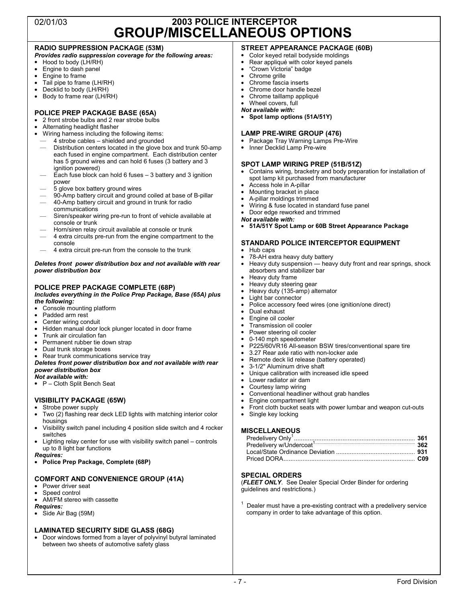# 02/01/03 **2003 POLICE INTERCEPTOR GROUP/MISCELLANEOUS OPTIONS**

#### **RADIO SUPPRESSION PACKAGE (53M)**

*Provides radio suppression coverage for the following areas:*

- $\bullet$  Hood to body (LH/RH)
- Engine to dash panel
- Engine to frame
- Tail pipe to frame (LH/RH)
- Decklid to body (LH/RH)<br>• Body to frame rear (LH/R
- Body to frame rear (LH/RH)

#### **POLICE PREP PACKAGE BASE (65A)**

- 2 front strobe bulbs and 2 rear strobe bulbs
- Alternating headlight flasher
- Wiring harness including the following items:
- 4 strobe cables shielded and grounded — Distribution centers located in the glove box and trunk 50-amp each fused in engine compartment. Each distribution center
- has 5 ground wires and can hold 6 fuses (3 battery and 3 ignition powered)
- Each fuse block can hold 6 fuses  $-3$  battery and 3 ignition power
- 5 glove box battery ground wires
- 90-Amp battery circuit and ground coiled at base of B-pillar
- 40-Amp battery circuit and ground in trunk for radio communications
- Siren/speaker wiring pre-run to front of vehicle available at console or trunk
- Horn/siren relay circuit available at console or trunk
- 4 extra circuits pre-run from the engine compartment to the console
- 4 extra circuit pre-run from the console to the trunk

#### *Deletes front power distribution box and not available with rear power distribution box*

#### **POLICE PREP PACKAGE COMPLETE (68P)**

*Includes everything in the Police Prep Package, Base (65A) plus the following:*

- Console mounting platform
- Padded arm rest
- Center wiring conduit
- Hidden manual door lock plunger located in door frame
- Trunk air circulation fan
- Permanent rubber tie down strap
- Dual trunk storage boxes
- Rear trunk communications service tray
- *Deletes front power distribution box and not available with rear power distribution box*
- *Not available with:*
- P Cloth Split Bench Seat

#### **VISIBILITY PACKAGE (65W)**

#### • Strobe power supply

- Two (2) flashing rear deck LED lights with matching interior color housings
- Visibility switch panel including 4 position slide switch and 4 rocker switches
- Lighting relay center for use with visibility switch panel controls up to 8 light bar functions

#### *Requires:*

• **Police Prep Package, Complete (68P)**

#### **COMFORT AND CONVENIENCE GROUP (41A)**

- Power driver seat
- Speed control
- AM/FM stereo with cassette

#### *Requires:*

Side Air Bag (59M)

#### **LAMINATED SECURITY SIDE GLASS (68G)**

• Door windows formed from a layer of polyvinyl butyral laminated between two sheets of automotive safety glass

### **STREET APPEARANCE PACKAGE (60B)**

- Color keyed retail bodyside moldings
- Rear appliqué with color keyed panels
- "Crown Victoria" badge
- Chrome grille • Chrome fascia inserts
- Chrome door handle bezel
- Chrome taillamp appliqué
- Wheel covers, full
- *Not available with:*
- **Spot lamp options (51A/51Y)**

#### **LAMP PRE-WIRE GROUP (476)**

- Package Tray Warning Lamps Pre-Wire
- Inner Decklid Lamp Pre-wire

#### **SPOT LAMP WIRING PREP (51B/51Z)**

- Contains wiring, bracketry and body preparation for installation of spot lamp kit purchased from manufacturer
- Access hole in A-pillar
- Mounting bracket in place
- A-pillar moldings trimmed
- Wiring & fuse located in standard fuse panel
- Door edge reworked and trimmed
- *Not available with:*
- **51A/51Y Spot Lamp or 60B Street Appearance Package**

#### **STANDARD POLICE INTERCEPTOR EQUIPMENT**

- Hub caps
- 78-AH extra heavy duty battery
- Heavy duty suspension heavy duty front and rear springs, shock absorbers and stabilizer bar
- Heavy duty frame
- Heavy duty steering gear
- Heavy duty (135-amp) alternator
- Light bar connector
- Police accessory feed wires (one ignition/one direct)
- Dual exhaust
- Engine oil cooler
- Transmission oil cooler
- Power steering oil cooler 0-140 mph speedometer
- P225/60VR16 All-season BSW tires/conventional spare tire
- 3.27 Rear axle ratio with non-locker axle
- Remote deck lid release (battery operated)
- 3-1/2" Aluminum drive shaft
- Unique calibration with increased idle speed
- Lower radiator air dam
- Courtesy lamp wiring
- Conventional headliner without grab handles
- Engine compartment light
- Front cloth bucket seats with power lumbar and weapon cut-outs<br>• Single key locking

Local/State Ordinance Deviation .............................................. **931**  Priced DORA............................................................................ **C09** 

Dealer must have a pre-existing contract with a predelivery service

(*FLEET ONLY*. See Dealer Special Order Binder for ordering

company in order to take advantage of this option.

Single key locking

### **MISCELLANEOUS**  Predelivery Only1 ...................................................................... **361**  Predelivery w/Undercoat1.................................................................................... **362**

**SPECIAL ORDERS** 

guidelines and restrictions.)

end Division and the set of the set of the set of the set of the set of the set of the set of the set of the s

1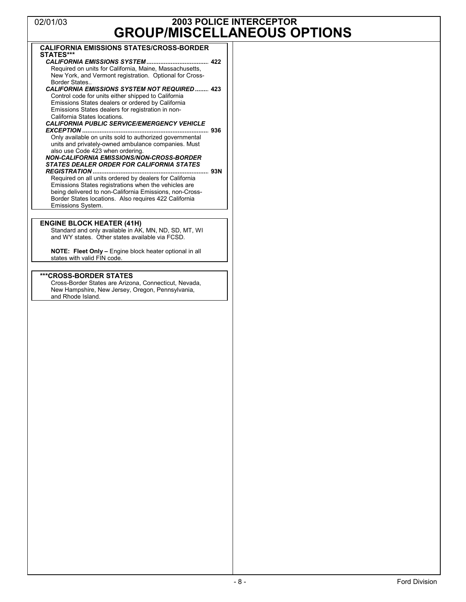# 02/01/03 **2003 POLICE INTERCEPTOR GROUP/MISCELLANEOUS OPTIONS**

| <b>GROUP/MISCELLANEOUS</b>                                                                                      |  |
|-----------------------------------------------------------------------------------------------------------------|--|
| <b>CALIFORNIA EMISSIONS STATES/CROSS-BORDER</b>                                                                 |  |
| STATES***                                                                                                       |  |
| Required on units for California, Maine, Massachusetts,                                                         |  |
| New York, and Vermont registration. Optional for Cross-                                                         |  |
| Border States<br><b>CALIFORNIA EMISSIONS SYSTEM NOT REQUIRED  423</b>                                           |  |
| Control code for units either shipped to California                                                             |  |
| Emissions States dealers or ordered by California                                                               |  |
| Emissions States dealers for registration in non-<br>California States locations.                               |  |
| <b>CALIFORNIA PUBLIC SERVICE/EMERGENCY VEHICLE</b>                                                              |  |
| Only available on units sold to authorized governmental                                                         |  |
| units and privately-owned ambulance companies. Must                                                             |  |
| also use Code 423 when ordering.                                                                                |  |
| <b>NON-CALIFORNIA EMISSIONS/NON-CROSS-BORDER</b><br><b>STATES DEALER ORDER FOR CALIFORNIA STATES</b>            |  |
|                                                                                                                 |  |
| Required on all units ordered by dealers for California                                                         |  |
| Emissions States registrations when the vehicles are<br>being delivered to non-California Emissions, non-Cross- |  |
| Border States locations. Also requires 422 California                                                           |  |
| Emissions System.                                                                                               |  |
|                                                                                                                 |  |
| <b>ENGINE BLOCK HEATER (41H)</b><br>Standard and only available in AK, MN, ND, SD, MT, WI                       |  |
| and WY states. Other states available via FCSD.                                                                 |  |
| <b>NOTE:</b> Fleet Only - Engine block heater optional in all                                                   |  |
| states with valid FIN code.                                                                                     |  |
|                                                                                                                 |  |
| ***CROSS-BORDER STATES<br>Cross-Border States are Arizona, Connecticut, Nevada,                                 |  |
| New Hampshire, New Jersey, Oregon, Pennsylvania,                                                                |  |
| and Rhode Island.                                                                                               |  |
|                                                                                                                 |  |
|                                                                                                                 |  |
|                                                                                                                 |  |
|                                                                                                                 |  |
|                                                                                                                 |  |
|                                                                                                                 |  |
|                                                                                                                 |  |
|                                                                                                                 |  |
|                                                                                                                 |  |
|                                                                                                                 |  |
|                                                                                                                 |  |
|                                                                                                                 |  |
|                                                                                                                 |  |
|                                                                                                                 |  |
|                                                                                                                 |  |
|                                                                                                                 |  |
|                                                                                                                 |  |
|                                                                                                                 |  |
|                                                                                                                 |  |
|                                                                                                                 |  |
|                                                                                                                 |  |
|                                                                                                                 |  |
|                                                                                                                 |  |
|                                                                                                                 |  |
|                                                                                                                 |  |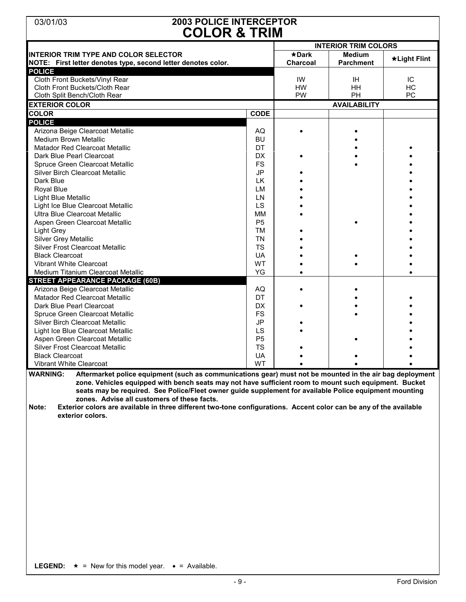# 03/01/03 **2003 POLICE INTERCEPTOR COLOR & TRIM**

| ULUIN U TININ<br><b>INTERIOR TRIM COLORS</b>                                                                                                                                                                                                                                                                                                                                                                                                                                                                                                     |                |                 |                     |              |  |
|--------------------------------------------------------------------------------------------------------------------------------------------------------------------------------------------------------------------------------------------------------------------------------------------------------------------------------------------------------------------------------------------------------------------------------------------------------------------------------------------------------------------------------------------------|----------------|-----------------|---------------------|--------------|--|
| <b>INTERIOR TRIM TYPE AND COLOR SELECTOR</b>                                                                                                                                                                                                                                                                                                                                                                                                                                                                                                     |                | $\star$ Dark    | <b>Medium</b>       |              |  |
| NOTE: First letter denotes type, second letter denotes color.                                                                                                                                                                                                                                                                                                                                                                                                                                                                                    |                | <b>Charcoal</b> | <b>Parchment</b>    | *Light Flint |  |
| <b>POLICE</b>                                                                                                                                                                                                                                                                                                                                                                                                                                                                                                                                    |                |                 |                     |              |  |
| Cloth Front Buckets/Vinyl Rear                                                                                                                                                                                                                                                                                                                                                                                                                                                                                                                   |                | IW              | <b>IH</b>           | IC           |  |
| Cloth Front Buckets/Cloth Rear                                                                                                                                                                                                                                                                                                                                                                                                                                                                                                                   |                | HW              | HH                  | HC           |  |
| Cloth Split Bench/Cloth Rear                                                                                                                                                                                                                                                                                                                                                                                                                                                                                                                     |                | PW              | PH                  | PC           |  |
| <b>EXTERIOR COLOR</b>                                                                                                                                                                                                                                                                                                                                                                                                                                                                                                                            |                |                 | <b>AVAILABILITY</b> |              |  |
| <b>COLOR</b>                                                                                                                                                                                                                                                                                                                                                                                                                                                                                                                                     | <b>CODE</b>    |                 |                     |              |  |
| <b>POLICE</b>                                                                                                                                                                                                                                                                                                                                                                                                                                                                                                                                    |                |                 |                     |              |  |
| Arizona Beige Clearcoat Metallic                                                                                                                                                                                                                                                                                                                                                                                                                                                                                                                 | AQ             |                 |                     |              |  |
| Medium Brown Metallic                                                                                                                                                                                                                                                                                                                                                                                                                                                                                                                            | <b>BU</b>      |                 |                     |              |  |
| <b>Matador Red Clearcoat Metallic</b>                                                                                                                                                                                                                                                                                                                                                                                                                                                                                                            | DT             |                 |                     |              |  |
| Dark Blue Pearl Clearcoat                                                                                                                                                                                                                                                                                                                                                                                                                                                                                                                        | DX             |                 |                     |              |  |
| Spruce Green Clearcoat Metallic                                                                                                                                                                                                                                                                                                                                                                                                                                                                                                                  | <b>FS</b>      |                 |                     |              |  |
| Silver Birch Clearcoat Metallic                                                                                                                                                                                                                                                                                                                                                                                                                                                                                                                  | <b>JP</b>      |                 |                     |              |  |
| Dark Blue                                                                                                                                                                                                                                                                                                                                                                                                                                                                                                                                        | LK             |                 |                     |              |  |
| Royal Blue                                                                                                                                                                                                                                                                                                                                                                                                                                                                                                                                       | LM             |                 |                     |              |  |
| Light Blue Metallic                                                                                                                                                                                                                                                                                                                                                                                                                                                                                                                              | LN             |                 |                     |              |  |
| Light Ice Blue Clearcoat Metallic                                                                                                                                                                                                                                                                                                                                                                                                                                                                                                                | LS             |                 |                     |              |  |
| Ultra Blue Clearcoat Metallic                                                                                                                                                                                                                                                                                                                                                                                                                                                                                                                    | MM             |                 |                     |              |  |
| Aspen Green Clearcoat Metallic                                                                                                                                                                                                                                                                                                                                                                                                                                                                                                                   | P <sub>5</sub> |                 |                     |              |  |
| Light Grey                                                                                                                                                                                                                                                                                                                                                                                                                                                                                                                                       | TM             |                 |                     |              |  |
| Silver Grey Metallic                                                                                                                                                                                                                                                                                                                                                                                                                                                                                                                             | <b>TN</b>      |                 |                     |              |  |
| Silver Frost Clearcoat Metallic                                                                                                                                                                                                                                                                                                                                                                                                                                                                                                                  | <b>TS</b>      |                 |                     |              |  |
| <b>Black Clearcoat</b>                                                                                                                                                                                                                                                                                                                                                                                                                                                                                                                           | UA             |                 |                     |              |  |
| Vibrant White Clearcoat                                                                                                                                                                                                                                                                                                                                                                                                                                                                                                                          | WT             |                 |                     |              |  |
| Medium Titanium Clearcoat Metallic                                                                                                                                                                                                                                                                                                                                                                                                                                                                                                               | YG             |                 |                     |              |  |
|                                                                                                                                                                                                                                                                                                                                                                                                                                                                                                                                                  |                |                 |                     |              |  |
| <b>STREET APPEARANCE PACKAGE (60B)</b>                                                                                                                                                                                                                                                                                                                                                                                                                                                                                                           |                |                 |                     |              |  |
| Arizona Beige Clearcoat Metallic                                                                                                                                                                                                                                                                                                                                                                                                                                                                                                                 | AQ             |                 |                     |              |  |
| <b>Matador Red Clearcoat Metallic</b>                                                                                                                                                                                                                                                                                                                                                                                                                                                                                                            | DT             |                 |                     |              |  |
| Dark Blue Pearl Clearcoat                                                                                                                                                                                                                                                                                                                                                                                                                                                                                                                        | <b>DX</b>      |                 |                     |              |  |
| Spruce Green Clearcoat Metallic                                                                                                                                                                                                                                                                                                                                                                                                                                                                                                                  | <b>FS</b>      |                 |                     |              |  |
| Silver Birch Clearcoat Metallic                                                                                                                                                                                                                                                                                                                                                                                                                                                                                                                  | <b>JP</b>      |                 |                     |              |  |
| Light Ice Blue Clearcoat Metallic                                                                                                                                                                                                                                                                                                                                                                                                                                                                                                                | LS             |                 |                     |              |  |
| Aspen Green Clearcoat Metallic                                                                                                                                                                                                                                                                                                                                                                                                                                                                                                                   | P <sub>5</sub> |                 |                     |              |  |
| <b>Silver Frost Clearcoat Metallic</b>                                                                                                                                                                                                                                                                                                                                                                                                                                                                                                           | <b>TS</b>      |                 |                     |              |  |
| <b>Black Clearcoat</b>                                                                                                                                                                                                                                                                                                                                                                                                                                                                                                                           | UA             |                 |                     |              |  |
| Vibrant White Clearcoat                                                                                                                                                                                                                                                                                                                                                                                                                                                                                                                          | WT             |                 |                     |              |  |
| <b>WARNING:</b><br>Aftermarket police equipment (such as communications gear) must not be mounted in the air bag deployment<br>zone. Vehicles equipped with bench seats may not have sufficient room to mount such equipment. Bucket<br>seats may be required. See Police/Fleet owner guide supplement for available Police equipment mounting<br>zones. Advise all customers of these facts.<br>Exterior colors are available in three different two-tone configurations. Accent color can be any of the available<br>Note:<br>exterior colors. |                |                 |                     |              |  |
|                                                                                                                                                                                                                                                                                                                                                                                                                                                                                                                                                  |                |                 |                     |              |  |